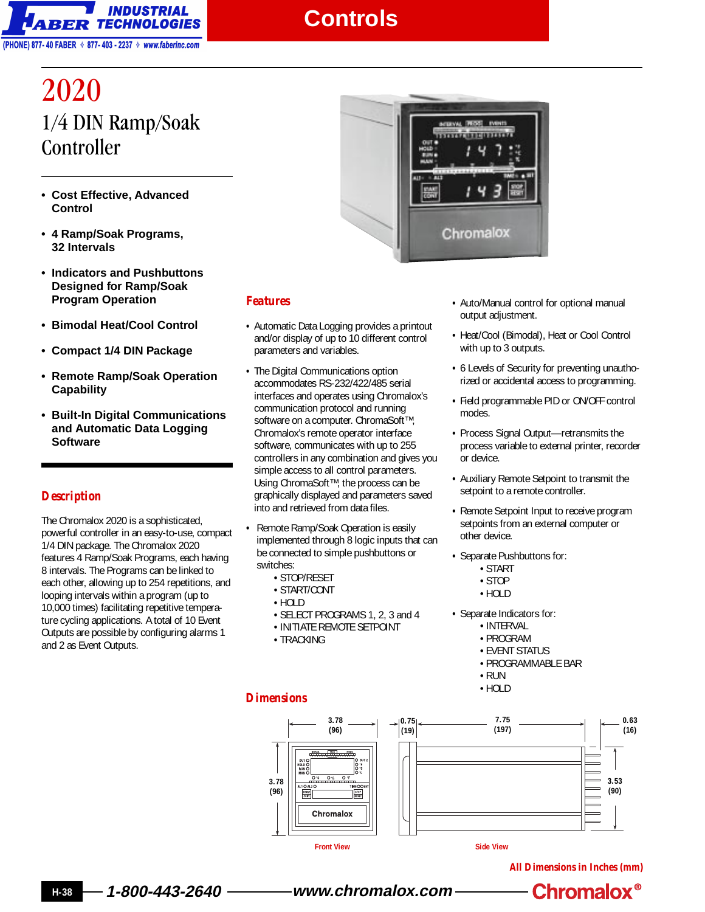

## **Controls**

# 2020 1/4 DIN Ramp/Soak Controller

- **Cost Effective, Advanced Control**
- **4 Ramp/Soak Programs, 32 Intervals**
- **Indicators and Pushbuttons Designed for Ramp/Soak Program Operation**
- **Bimodal Heat/Cool Control**
- **Compact 1/4 DIN Package**
- **Remote Ramp/Soak Operation Capability**
- **Built-In Digital Communications and Automatic Data Logging Software**

### *Description*

The Chromalox 2020 is a sophisticated, powerful controller in an easy-to-use, compact 1/4 DIN package. The Chromalox 2020 features 4 Ramp/Soak Programs, each having 8 intervals. The Programs can be linked to each other, allowing up to 254 repetitions, and looping intervals within a program (up to 10,000 times) facilitating repetitive temperature cycling applications. A total of 10 Event Outputs are possible by configuring alarms 1 and 2 as Event Outputs.



#### *Features*

- **•** Automatic Data Logging provides a printout and/or display of up to 10 different control parameters and variables.
- **•** The Digital Communications option accommodates RS-232/422/485 serial interfaces and operates using Chromalox's communication protocol and running software on a computer. ChromaSoft™, Chromalox's remote operator interface software, communicates with up to 255 controllers in any combination and gives you simple access to all control parameters. Using ChromaSoft™, the process can be graphically displayed and parameters saved into and retrieved from data files.
- **•** Remote Ramp/Soak Operation is easily implemented through 8 logic inputs that can be connected to simple pushbuttons or switches:
	- STOP/RESET
	- START/CONT
	- HOLD
	- SELECT PROGRAMS 1, 2, 3 and 4
	- INITIATE REMOTE SETPOINT
	- TRACKING

#### *Dimensions*



- **•** Heat/Cool (Bimodal), Heat or Cool Control with up to 3 outputs.
- **•** 6 Levels of Security for preventing unauthorized or accidental access to programming.
- **•** Field programmable PID or ON/OFF control modes.
- **•** Process Signal Output—retransmits the process variable to external printer, recorder or device.
- **•** Auxiliary Remote Setpoint to transmit the setpoint to a remote controller.
- **•** Remote Setpoint Input to receive program setpoints from an external computer or other device.
- **•** Separate Pushbuttons for:
	- START
	- STOP
	- HOLD
- **•** Separate Indicators for:
	- INTERVAL
	- PROGRAM
	- EVENT STATUS
	- PROGRAMMABLE BAR
	- RUN
	- HOLD



**All Dimensions in Inches (mm)**

**H-38 1-800-443-2640 www.chromalox.com**

**Chromalox<sup>®</sup>**